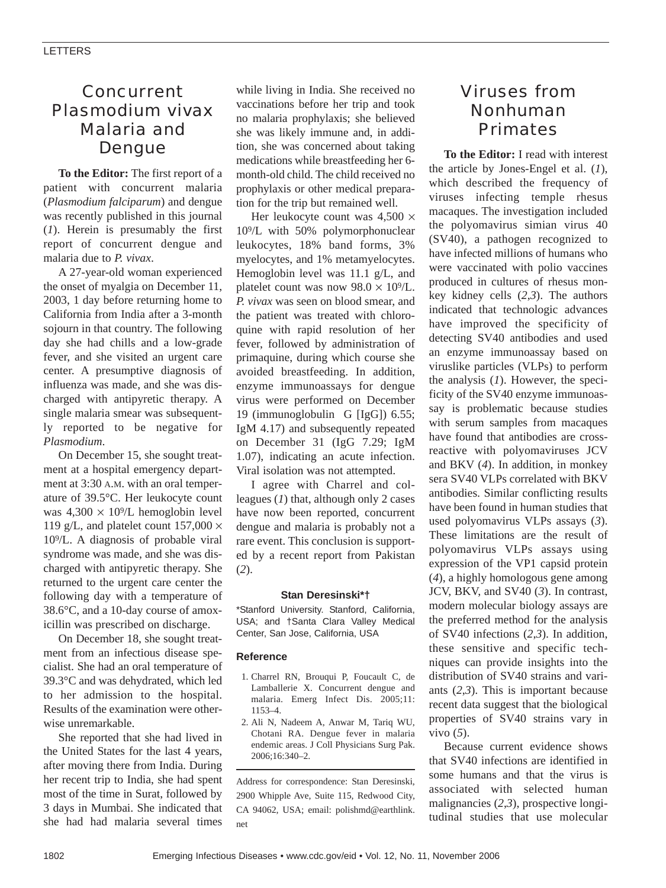# Concurrent *Plasmodium vivax* Malaria and Dengue

**To the Editor:** The first report of a patient with concurrent malaria (*Plasmodium falciparum*) and dengue was recently published in this journal (*1*). Herein is presumably the first report of concurrent dengue and malaria due to *P. vivax*.

A 27-year-old woman experienced the onset of myalgia on December 11, 2003, 1 day before returning home to California from India after a 3-month sojourn in that country. The following day she had chills and a low-grade fever, and she visited an urgent care center. A presumptive diagnosis of influenza was made, and she was discharged with antipyretic therapy. A single malaria smear was subsequently reported to be negative for *Plasmodium*.

On December 15, she sought treatment at a hospital emergency department at 3:30 A.M. with an oral temperature of 39.5°C. Her leukocyte count was  $4,300 \times 10^{9}/L$  hemoglobin level 119 g/L, and platelet count  $157,000 \times$ 109/L. A diagnosis of probable viral syndrome was made, and she was discharged with antipyretic therapy. She returned to the urgent care center the following day with a temperature of 38.6°C, and a 10-day course of amoxicillin was prescribed on discharge.

On December 18, she sought treatment from an infectious disease specialist. She had an oral temperature of 39.3°C and was dehydrated, which led to her admission to the hospital. Results of the examination were otherwise unremarkable.

She reported that she had lived in the United States for the last 4 years, after moving there from India. During her recent trip to India, she had spent most of the time in Surat, followed by 3 days in Mumbai. She indicated that she had had malaria several times while living in India. She received no vaccinations before her trip and took no malaria prophylaxis; she believed she was likely immune and, in addition, she was concerned about taking medications while breastfeeding her 6 month-old child. The child received no prophylaxis or other medical preparation for the trip but remained well.

Her leukocyte count was  $4,500 \times$ 109/L with 50% polymorphonuclear leukocytes, 18% band forms, 3% myelocytes, and 1% metamyelocytes. Hemoglobin level was 11.1 g/L, and platelet count was now  $98.0 \times 10^9$ /L. *P. vivax* was seen on blood smear, and the patient was treated with chloroquine with rapid resolution of her fever, followed by administration of primaquine, during which course she avoided breastfeeding. In addition, enzyme immunoassays for dengue virus were performed on December 19 (immunoglobulin G [IgG]) 6.55; IgM 4.17) and subsequently repeated on December 31 (IgG 7.29; IgM 1.07), indicating an acute infection. Viral isolation was not attempted.

I agree with Charrel and colleagues (*1*) that, although only 2 cases have now been reported, concurrent dengue and malaria is probably not a rare event. This conclusion is supported by a recent report from Pakistan (*2*).

## **Stan Deresinski\*†**

\*Stanford University. Stanford, California, USA; and †Santa Clara Valley Medical Center, San Jose, California, USA

### **Reference**

- 1. Charrel RN, Brouqui P, Foucault C, de Lamballerie X. Concurrent dengue and malaria. Emerg Infect Dis. 2005;11: 1153–4.
- 2. Ali N, Nadeem A, Anwar M, Tariq WU, Chotani RA. Dengue fever in malaria endemic areas. J Coll Physicians Surg Pak. 2006;16:340–2.

Address for correspondence: Stan Deresinski, 2900 Whipple Ave, Suite 115, Redwood City, CA 94062, USA; email: polishmd@earthlink. net

# Viruses from Nonhuman Primates

**To the Editor:** I read with interest the article by Jones-Engel et al. (*1*), which described the frequency of viruses infecting temple rhesus macaques. The investigation included the polyomavirus simian virus 40 (SV40), a pathogen recognized to have infected millions of humans who were vaccinated with polio vaccines produced in cultures of rhesus monkey kidney cells (*2*,*3*). The authors indicated that technologic advances have improved the specificity of detecting SV40 antibodies and used an enzyme immunoassay based on viruslike particles (VLPs) to perform the analysis (*1*). However, the specificity of the SV40 enzyme immunoassay is problematic because studies with serum samples from macaques have found that antibodies are crossreactive with polyomaviruses JCV and BKV (*4*). In addition, in monkey sera SV40 VLPs correlated with BKV antibodies. Similar conflicting results have been found in human studies that used polyomavirus VLPs assays (*3*). These limitations are the result of polyomavirus VLPs assays using expression of the VP1 capsid protein (*4*), a highly homologous gene among JCV, BKV, and SV40 (*3*). In contrast, modern molecular biology assays are the preferred method for the analysis of SV40 infections (*2*,*3*). In addition, these sensitive and specific techniques can provide insights into the distribution of SV40 strains and variants (*2*,*3*). This is important because recent data suggest that the biological properties of SV40 strains vary in vivo (*5*).

Because current evidence shows that SV40 infections are identified in some humans and that the virus is associated with selected human malignancies (*2*,*3*), prospective longitudinal studies that use molecular